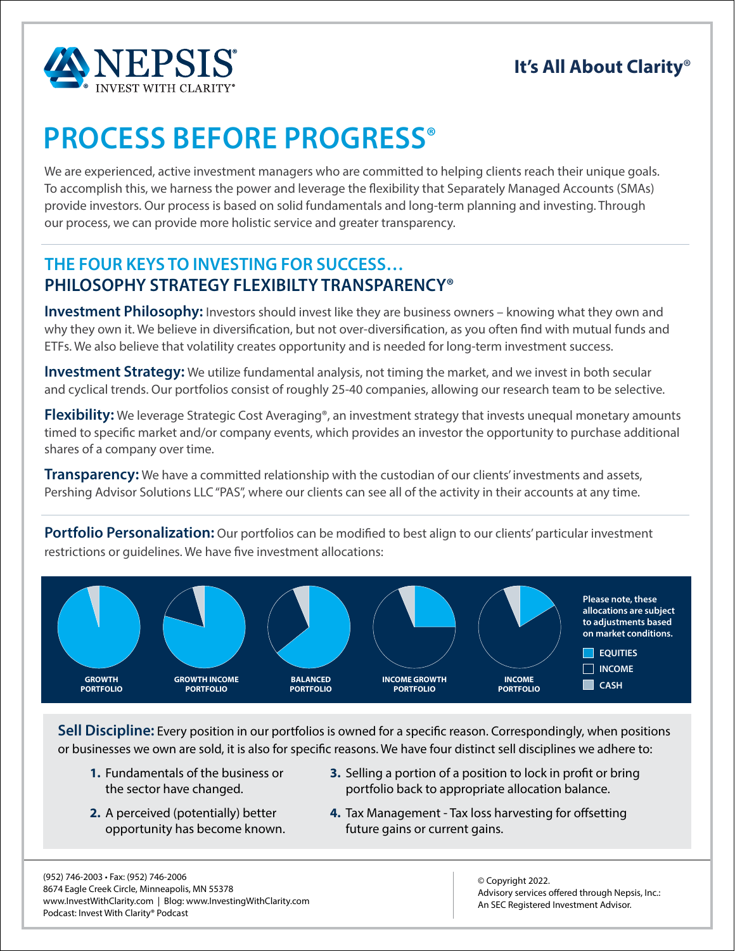

## **It's All About Clarity**®

# **PROCESS BEFORE PROGRESS®**

We are experienced, active investment managers who are committed to helping clients reach their unique goals. To accomplish this, we harness the power and leverage the flexibility that Separately Managed Accounts (SMAs) provide investors. Our process is based on solid fundamentals and long-term planning and investing. Through our process, we can provide more holistic service and greater transparency.

### **THE FOUR KEYS TO INVESTING FOR SUCCESS… PHILOSOPHY STRATEGY FLEXIBILTY TRANSPARENCY®**

**Investment Philosophy:** Investors should invest like they are business owners – knowing what they own and why they own it. We believe in diversification, but not over-diversification, as you often find with mutual funds and ETFs. We also believe that volatility creates opportunity and is needed for long-term investment success.

**Investment Strategy:** We utilize fundamental analysis, not timing the market, and we invest in both secular and cyclical trends. Our portfolios consist of roughly 25-40 companies, allowing our research team to be selective.

**Flexibility:** We leverage Strategic Cost Averaging®, an investment strategy that invests unequal monetary amounts timed to specific market and/or company events, which provides an investor the opportunity to purchase additional shares of a company over time.

**Transparency:** We have a committed relationship with the custodian of our clients' investments and assets, Pershing Advisor Solutions LLC "PAS", where our clients can see all of the activity in their accounts at any time.

**Portfolio Personalization:** Our portfolios can be modified to best align to our clients' particular investment restrictions or guidelines. We have five investment allocations:



**Sell Discipline:** Every position in our portfolios is owned for a specific reason. Correspondingly, when positions or businesses we own are sold, it is also for specific reasons. We have four distinct sell disciplines we adhere to:

- **1.** Fundamentals of the business or the sector have changed.
- **2.** A perceived (potentially) better opportunity has become known.
- **3.** Selling a portion of a position to lock in profit or bring portfolio back to appropriate allocation balance.
- **4.** Tax Management Tax loss harvesting for offsetting future gains or current gains.